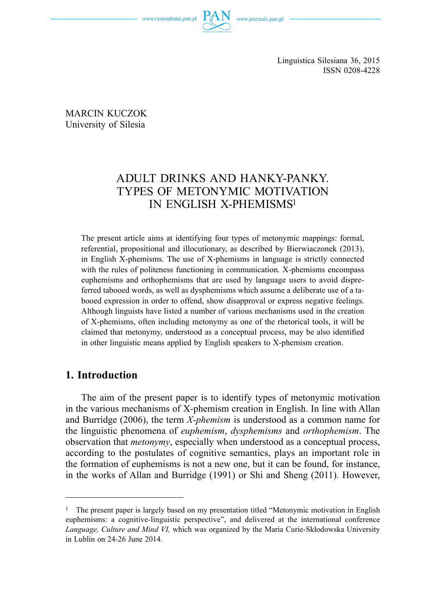

Linguistica Silesiana 36, 2015 ISSN 0208-4228

MARCIN KUCZOK University of Silesia

# ADULT DRINKS AND HANKY-PANKY. TYPES OF METONYMIC MOTIVATION IN ENGLISH X-PHEMISMS1

The present article aims at identifying four types of metonymic mappings: formal, referential, propositional and illocutionary, as described by Bierwiaczonek (2013), in English X-phemisms. The use of X-phemisms in language is strictly connected with the rules of politeness functioning in communication. X-phemisms encompass euphemisms and orthophemisms that are used by language users to avoid dispreferred tabooed words, as well as dysphemisms which assume a deliberate use of a tabooed expression in order to offend, show disapproval or express negative feelings. Although linguists have listed a number of various mechanisms used in the creation of X-phemisms, often including metonymy as one of the rhetorical tools, it will be claimed that metonymy, understood as a conceptual process, may be also identified in other linguistic means applied by English speakers to X-phemism creation.

## **1. Introduction**

The aim of the present paper is to identify types of metonymic motivation in the various mechanisms of X-phemism creation in English. In line with Allan and Burridge (2006), the term *X-phemism* is understood as a common name for the linguistic phenomena of *euphemism*, *dysphemisms* and *orthophemism*. The observation that *metonymy*, especially when understood as a conceptual process, according to the postulates of cognitive semantics, plays an important role in the formation of euphemisms is not a new one, but it can be found, for instance, in the works of Allan and Burridge (1991) or Shi and Sheng (2011). However,

<sup>1</sup> The present paper is largely based on my presentation titled "Metonymic motivation in English euphemisms: a cognitive-linguistic perspective", and delivered at the international conference *Language, Culture and Mind VI,* which was organized by the Maria Curie-Skłodowska University in Lublin on 24-26 June 2014.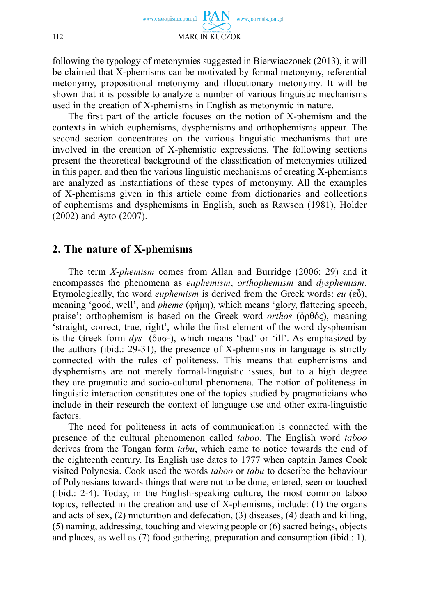

following the typology of metonymies suggested in Bierwiaczonek (2013), it will be claimed that X-phemisms can be motivated by formal metonymy, referential metonymy, propositional metonymy and illocutionary metonymy. It will be shown that it is possible to analyze a number of various linguistic mechanisms used in the creation of X-phemisms in English as metonymic in nature.

The first part of the article focuses on the notion of X-phemism and the contexts in which euphemisms, dysphemisms and orthophemisms appear. The second section concentrates on the various linguistic mechanisms that are involved in the creation of X-phemistic expressions. The following sections present the theoretical background of the classification of metonymies utilized in this paper, and then the various linguistic mechanisms of creating X-phemisms are analyzed as instantiations of these types of metonymy. All the examples of X-phemisms given in this article come from dictionaries and collections of euphemisms and dysphemisms in English, such as Rawson (1981), Holder (2002) and Ayto (2007).

### **2. The nature of X-phemisms**

The term *X-phemism* comes from Allan and Burridge (2006: 29) and it encompasses the phenomena as *euphemism*, *orthophemism* and *dysphemism*. Etymologically, the word *euphemism* is derived from the Greek words: *eu* (εὖ), meaning 'good, well', and *pheme* (φήμη), which means 'glory, flattering speech, praise'; orthophemism is based on the Greek word *orthos* (ὀρθός), meaning 'straight, correct, true, right', while the first element of the word dysphemism is the Greek form *dys-* (δυσ-), which means 'bad' or 'ill'. As emphasized by the authors (ibid.: 29-31), the presence of X-phemisms in language is strictly connected with the rules of politeness. This means that euphemisms and dysphemisms are not merely formal-linguistic issues, but to a high degree they are pragmatic and socio-cultural phenomena. The notion of politeness in linguistic interaction constitutes one of the topics studied by pragmaticians who include in their research the context of language use and other extra-linguistic factors.

The need for politeness in acts of communication is connected with the presence of the cultural phenomenon called *taboo*. The English word *taboo* derives from the Tongan form *tabu*, which came to notice towards the end of the eighteenth century. Its English use dates to 1777 when captain James Cook visited Polynesia. Cook used the words *taboo* or *tabu* to describe the behaviour of Polynesians towards things that were not to be done, entered, seen or touched (ibid.: 2-4). Today, in the English-speaking culture, the most common taboo topics, reflected in the creation and use of  $X$ -phemisms, include: (1) the organs and acts of sex, (2) micturition and defecation, (3) diseases, (4) death and killing, (5) naming, addressing, touching and viewing people or (6) sacred beings, objects and places, as well as (7) food gathering, preparation and consumption (ibid.: 1).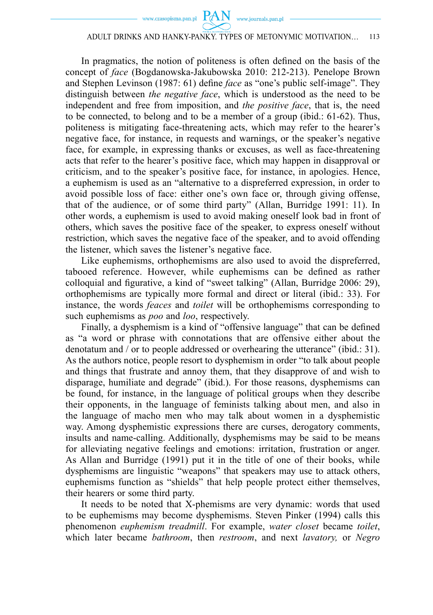In pragmatics, the notion of politeness is often defined on the basis of the concept of *face* (Bogdanowska-Jakubowska 2010: 212-213). Penelope Brown and Stephen Levinson (1987: 61) define *face* as "one's public self-image". They distinguish between *the negative face*, which is understood as the need to be independent and free from imposition, and *the positive face*, that is, the need to be connected, to belong and to be a member of a group (ibid.: 61-62). Thus, politeness is mitigating face-threatening acts, which may refer to the hearer's negative face, for instance, in requests and warnings, or the speaker's negative face, for example, in expressing thanks or excuses, as well as face-threatening acts that refer to the hearer's positive face, which may happen in disapproval or criticism, and to the speaker's positive face, for instance, in apologies. Hence, a euphemism is used as an "alternative to a dispreferred expression, in order to avoid possible loss of face: either one's own face or, through giving offense, that of the audience, or of some third party" (Allan, Burridge 1991: 11). In other words, a euphemism is used to avoid making oneself look bad in front of others, which saves the positive face of the speaker, to express oneself without restriction, which saves the negative face of the speaker, and to avoid offending the listener, which saves the listener's negative face.

Like euphemisms, orthophemisms are also used to avoid the dispreferred, tabooed reference. However, while euphemisms can be defined as rather colloquial and figurative, a kind of "sweet talking" (Allan, Burridge 2006: 29), orthophemisms are typically more formal and direct or literal (ibid.: 33). For instance, the words *feaces* and *toilet* will be orthophemisms corresponding to such euphemisms as *poo* and *loo*, respectively.

Finally, a dysphemism is a kind of "offensive language" that can be defined as "a word or phrase with connotations that are offensive either about the denotatum and / or to people addressed or overhearing the utterance" (ibid.: 31). As the authors notice, people resort to dysphemism in order "to talk about people and things that frustrate and annoy them, that they disapprove of and wish to disparage, humiliate and degrade" (ibid.). For those reasons, dysphemisms can be found, for instance, in the language of political groups when they describe their opponents, in the language of feminists talking about men, and also in the language of macho men who may talk about women in a dysphemistic way. Among dysphemistic expressions there are curses, derogatory comments, insults and name-calling. Additionally, dysphemisms may be said to be means for alleviating negative feelings and emotions: irritation, frustration or anger. As Allan and Burridge (1991) put it in the title of one of their books, while dysphemisms are linguistic "weapons" that speakers may use to attack others, euphemisms function as "shields" that help people protect either themselves, their hearers or some third party.

It needs to be noted that X-phemisms are very dynamic: words that used to be euphemisms may become dysphemisms. Steven Pinker (1994) calls this phenomenon *euphemism treadmill*. For example, *water closet* became *toilet*, which later became *bathroom*, then *restroom*, and next *lavatory,* or *Negro*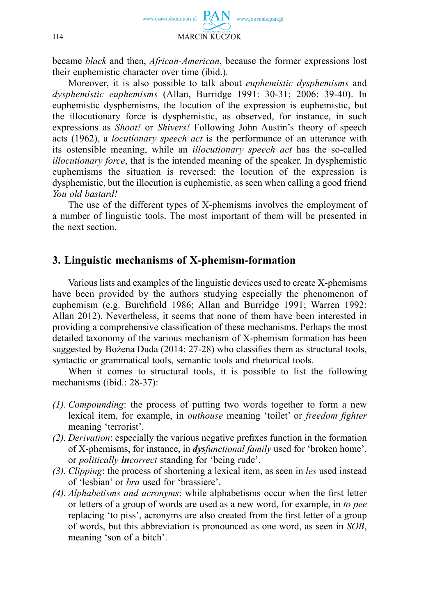

became *black* and then, *African-American*, because the former expressions lost their euphemistic character over time (ibid.).

Moreover, it is also possible to talk about *euphemistic dysphemisms* and *dysphemistic euphemisms* (Allan, Burridge 1991: 30-31; 2006: 39-40). In euphemistic dysphemisms, the locution of the expression is euphemistic, but the illocutionary force is dysphemistic, as observed, for instance, in such expressions as *Shoot!* or *Shivers!* Following John Austin's theory of speech acts (1962), a *locutionary speech act* is the performance of an utterance with its ostensible meaning, while an *illocutionary speech act* has the so-called *illocutionary force*, that is the intended meaning of the speaker. In dysphemistic euphemisms the situation is reversed: the locution of the expression is dysphemistic, but the illocution is euphemistic, as seen when calling a good friend *You old bastard!*

The use of the different types of X-phemisms involves the employment of a number of linguistic tools. The most important of them will be presented in the next section.

### **3. Linguistic mechanisms of X-phemism-formation**

Various lists and examples of the linguistic devices used to create X-phemisms have been provided by the authors studying especially the phenomenon of euphemism (e.g. Burchfield 1986; Allan and Burridge 1991; Warren 1992; Allan 2012). Nevertheless, it seems that none of them have been interested in providing a comprehensive classification of these mechanisms. Perhaps the most detailed taxonomy of the various mechanism of X-phemism formation has been suggested by Bożena Duda (2014:  $27-28$ ) who classifies them as structural tools, syntactic or grammatical tools, semantic tools and rhetorical tools.

When it comes to structural tools, it is possible to list the following mechanisms (ibid.: 28-37):

- *(1). Compounding*: the process of putting two words together to form a new lexical item, for example, in *outhouse* meaning 'toilet' or *freedom fighter* meaning 'terrorist'.
- *(2). Derivation:* especially the various negative prefixes function in the formation of X-phemisms, for instance, in *dysfunctional family* used for 'broken home', or *politically incorrect* standing for 'being rude'.
- *(3). Clipping*: the process of shortening a lexical item, as seen in *les* used instead of 'lesbian' or *bra* used for 'brassiere'.
- *(4). Alphabetisms and acronyms:* while alphabetisms occur when the first letter or letters of a group of words are used as a new word, for example, in *to pee*  replacing 'to piss', acronyms are also created from the first letter of a group of words, but this abbreviation is pronounced as one word, as seen in *SOB*, meaning 'son of a bitch'.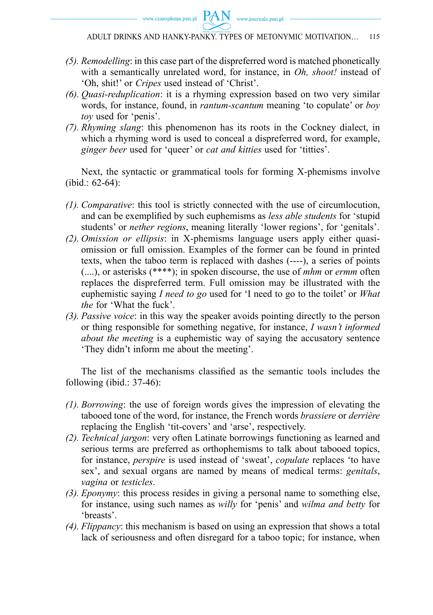

- *(5). Remodelling*: in this case part of the dispreferred word is matched phonetically with a semantically unrelated word, for instance, in *Oh, shoot!* instead of 'Oh, shit!' or *Cripes* used instead of 'Christ'.
- *(6). Quasi-reduplication*: it is a rhyming expression based on two very similar words, for instance, found, in *rantum-scantum* meaning 'to copulate' or *boy toy* used for 'penis'.
- *(7). Rhyming slang*: this phenomenon has its roots in the Cockney dialect, in which a rhyming word is used to conceal a dispreferred word, for example, *ginger beer* used for 'queer' or *cat and kitties* used for 'titties'.

Next, the syntactic or grammatical tools for forming X-phemisms involve (ibid.: 62-64):

- *(1). Comparative*: this tool is strictly connected with the use of circumlocution, and can be exemplified by such euphemisms as *less able students* for 'stupid students' or *nether regions*, meaning literally 'lower regions', for 'genitals'.
- *(2). Omission or ellipsis*: in X-phemisms language users apply either quasiomission or full omission. Examples of the former can be found in printed texts, when the taboo term is replaced with dashes (----), a series of points (....), or asterisks (\*\*\*\*); in spoken discourse, the use of *mhm* or *ermm* often replaces the dispreferred term. Full omission may be illustrated with the euphemistic saying *I need to go* used for 'I need to go to the toilet' or *What the* for 'What the fuck'.
- *(3). Passive voice*: in this way the speaker avoids pointing directly to the person or thing responsible for something negative, for instance, *I wasn't informed about the meeting* is a euphemistic way of saying the accusatory sentence 'They didn't inform me about the meeting'.

The list of the mechanisms classified as the semantic tools includes the following (ibid.: 37-46):

- *(1). Borrowing*: the use of foreign words gives the impression of elevating the tabooed tone of the word, for instance, the French words *brassiere* or *derrière* replacing the English 'tit-covers' and 'arse', respectively.
- *(2). Technical jargon*: very often Latinate borrowings functioning as learned and serious terms are preferred as orthophemisms to talk about tabooed topics, for instance, *perspire* is used instead of 'sweat', *copulate* replaces 'to have sex', and sexual organs are named by means of medical terms: *genitals*, *vagina* or *testicles*.
- *(3). Eponymy*: this process resides in giving a personal name to something else, for instance, using such names as *willy* for 'penis' and *wilma and betty* for 'breasts'.
- *(4). Flippancy*: this mechanism is based on using an expression that shows a total lack of seriousness and often disregard for a taboo topic; for instance, when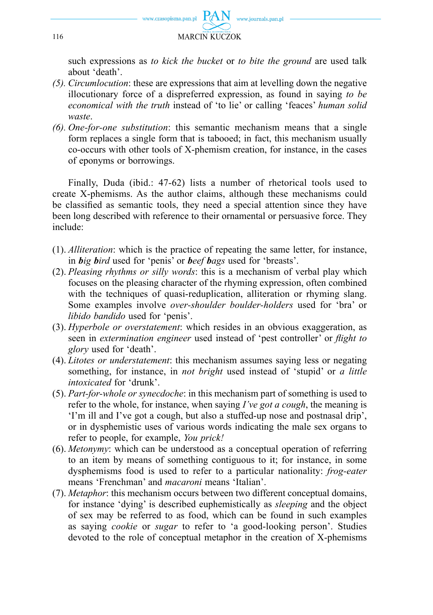

such expressions as *to kick the bucket* or *to bite the ground* are used talk about 'death'.

- *(5). Circumlocution*: these are expressions that aim at levelling down the negative illocutionary force of a dispreferred expression, as found in saying *to be economical with the truth* instead of 'to lie' or calling 'feaces' *human solid waste*.
- *(6). One-for-one substitution*: this semantic mechanism means that a single form replaces a single form that is tabooed; in fact, this mechanism usually co-occurs with other tools of X-phemism creation, for instance, in the cases of eponyms or borrowings.

Finally, Duda (ibid.: 47-62) lists a number of rhetorical tools used to create X-phemisms. As the author claims, although these mechanisms could be classified as semantic tools, they need a special attention since they have been long described with reference to their ornamental or persuasive force. They include:

- (1). *Alliteration*: which is the practice of repeating the same letter, for instance, in *big bird* used for 'penis' or *beef bags* used for 'breasts'.
- (2). *Pleasing rhythms or silly words*: this is a mechanism of verbal play which focuses on the pleasing character of the rhyming expression, often combined with the techniques of quasi-reduplication, alliteration or rhyming slang. Some examples involve *over-shoulder boulder-holders* used for 'bra' or *libido bandido* used for 'penis'.
- (3). *Hyperbole or overstatement*: which resides in an obvious exaggeration, as seen in *extermination engineer* used instead of 'pest controller' or *flight to glory* used for 'death'.
- (4). *Litotes or understatement*: this mechanism assumes saying less or negating something, for instance, in *not bright* used instead of 'stupid' or *a little intoxicated* for 'drunk'.
- (5). *Part-for-whole or synecdoche*: in this mechanism part of something is used to refer to the whole, for instance, when saying *I've got a cough*, the meaning is 'I'm ill and I've got a cough, but also a stuffed-up nose and postnasal drip', or in dysphemistic uses of various words indicating the male sex organs to refer to people, for example, *You prick!*
- (6). *Metonymy*: which can be understood as a conceptual operation of referring to an item by means of something contiguous to it; for instance, in some dysphemisms food is used to refer to a particular nationality: *frog-eater* means 'Frenchman' and *macaroni* means 'Italian'.
- (7). *Metaphor*: this mechanism occurs between two different conceptual domains, for instance 'dying' is described euphemistically as *sleeping* and the object of sex may be referred to as food, which can be found in such examples as saying *cookie* or *sugar* to refer to 'a good-looking person'. Studies devoted to the role of conceptual metaphor in the creation of X-phemisms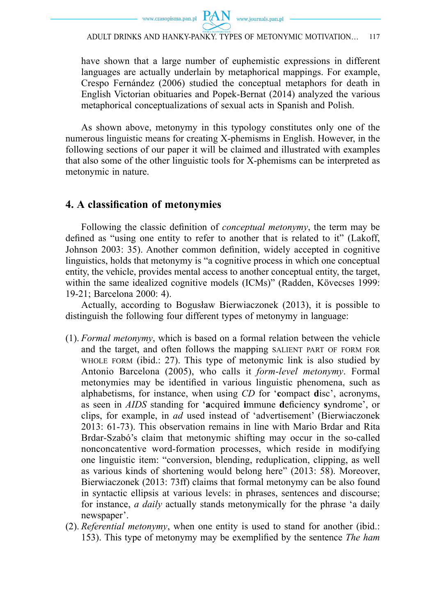

have shown that a large number of euphemistic expressions in different languages are actually underlain by metaphorical mappings. For example, Crespo Fernández (2006) studied the conceptual metaphors for death in English Victorian obituaries and Popek-Bernat (2014) analyzed the various metaphorical conceptualizations of sexual acts in Spanish and Polish.

As shown above, metonymy in this typology constitutes only one of the numerous linguistic means for creating X-phemisms in English. However, in the following sections of our paper it will be claimed and illustrated with examples that also some of the other linguistic tools for X-phemisms can be interpreted as metonymic in nature.

## **4. A classifi cation of metonymies**

Following the classic definition of *conceptual metonymy*, the term may be defined as "using one entity to refer to another that is related to it" (Lakoff, Johnson 2003: 35). Another common definition, widely accepted in cognitive linguistics, holds that metonymy is "a cognitive process in which one conceptual entity, the vehicle, provides mental access to another conceptual entity, the target, within the same idealized cognitive models (ICMs)" (Radden, Kövecses 1999: 19-21; Barcelona 2000: 4).

Actually, according to Bogusław Bierwiaczonek (2013), it is possible to distinguish the following four different types of metonymy in language:

- (1). *Formal metonymy*, which is based on a formal relation between the vehicle and the target, and often follows the mapping SALIENT PART OF FORM FOR WHOLE FORM (ibid.: 27). This type of metonymic link is also studied by Antonio Barcelona (2005), who calls it *form-level metonymy*. Formal metonymies may be identified in various linguistic phenomena, such as alphabetisms, for instance, when using *CD* for '**c**ompact **d**isc', acronyms, as seen in *AIDS* standing for 'acquired **i**mmune deficiency syndrome', or clips, for example, in *ad* used instead of 'advertisement' (Bierwiaczonek 2013: 61-73). This observation remains in line with Mario Brdar and Rita Brdar-Szabó's claim that metonymic shifting may occur in the so-called nonconcatentive word-formation processes, which reside in modifying one linguistic item: "conversion, blending, reduplication, clipping, as well as various kinds of shortening would belong here" (2013: 58). Moreover, Bierwiaczonek (2013: 73ff) claims that formal metonymy can be also found in syntactic ellipsis at various levels: in phrases, sentences and discourse; for instance, *a daily* actually stands metonymically for the phrase 'a daily newspaper'.
- (2). *Referential metonymy*, when one entity is used to stand for another (ibid.: 153). This type of metonymy may be exemplified by the sentence *The ham*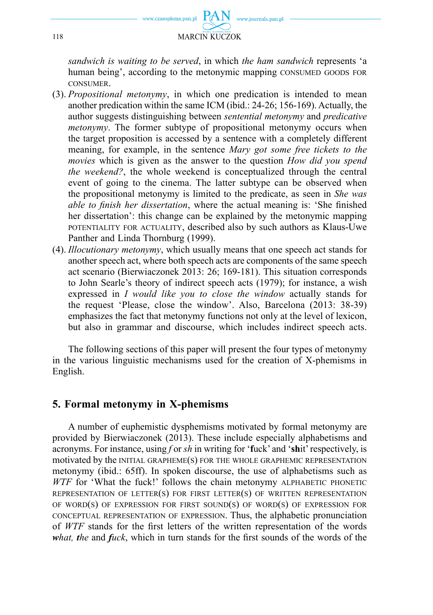

*sandwich is waiting to be served*, in which *the ham sandwich* represents 'a human being', according to the metonymic mapping CONSUMED GOODS FOR CONSUMER.

- (3). *Propositional metonymy*, in which one predication is intended to mean another predication within the same ICM (ibid.: 24-26; 156-169). Actually, the author suggests distinguishing between *sentential metonymy* and *predicative metonymy*. The former subtype of propositional metonymy occurs when the target proposition is accessed by a sentence with a completely different meaning, for example, in the sentence *Mary got some free tickets to the movies* which is given as the answer to the question *How did you spend the weekend?*, the whole weekend is conceptualized through the central event of going to the cinema. The latter subtype can be observed when the propositional metonymy is limited to the predicate, as seen in *She was able to finish her dissertation*, where the actual meaning is: 'She finished her dissertation': this change can be explained by the metonymic mapping POTENTIALITY FOR ACTUALITY, described also by such authors as Klaus-Uwe Panther and Linda Thornburg (1999).
- (4). *Illocutionary metonymy*, which usually means that one speech act stands for another speech act, where both speech acts are components of the same speech act scenario (Bierwiaczonek 2013: 26; 169-181). This situation corresponds to John Searle's theory of indirect speech acts (1979); for instance, a wish expressed in *I would like you to close the window* actually stands for the request 'Please, close the window'. Also, Barcelona (2013: 38-39) emphasizes the fact that metonymy functions not only at the level of lexicon, but also in grammar and discourse, which includes indirect speech acts.

The following sections of this paper will present the four types of metonymy in the various linguistic mechanisms used for the creation of X-phemisms in English.

### **5. Formal metonymy in X-phemisms**

A number of euphemistic dysphemisms motivated by formal metonymy are provided by Bierwiaczonek (2013). These include especially alphabetisms and acronyms. For instance, using *f* or *sh* in writing for '**f**uck' and '**sh**it' respectively, is motivated by the INITIAL GRAPHEME(S) FOR THE WHOLE GRAPHEMIC REPRESENTATION metonymy (ibid.: 65ff). In spoken discourse, the use of alphabetisms such as *WTF* for 'What the fuck!' follows the chain metonymy ALPHABETIC PHONETIC REPRESENTATION OF LETTER(S) FOR FIRST LETTER(S) OF WRITTEN REPRESENTATION OF WORD(S) OF EXPRESSION FOR FIRST SOUND(S) OF WORD(S) OF EXPRESSION FOR CONCEPTUAL REPRESENTATION OF EXPRESSION. Thus, the alphabetic pronunciation of WTF stands for the first letters of the written representation of the words *what, the and fuck*, which in turn stands for the first sounds of the words of the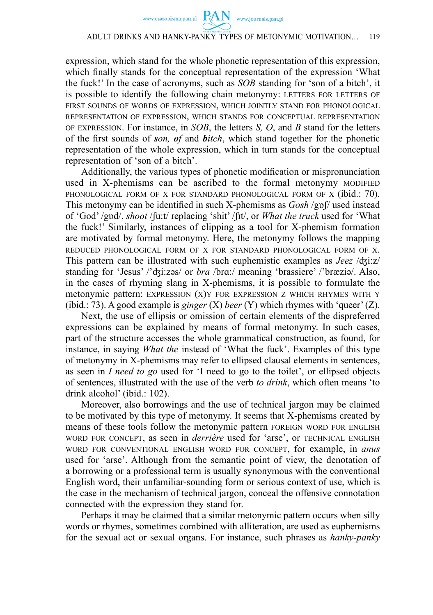expression, which stand for the whole phonetic representation of this expression, which finally stands for the conceptual representation of the expression 'What the fuck!' In the case of acronyms, such as *SOB* standing for 'son of a bitch', it is possible to identify the following chain metonymy: LETTERS FOR LETTERS OF FIRST SOUNDS OF WORDS OF EXPRESSION, WHICH JOINTLY STAND FOR PHONOLOGICAL REPRESENTATION OF EXPRESSION, WHICH STANDS FOR CONCEPTUAL REPRESENTATION OF EXPRESSION. For instance, in *SOB*, the letters *S, O*, and *B* stand for the letters of the first sounds of *son, of* and *bitch*, which stand together for the phonetic representation of the whole expression, which in turn stands for the conceptual representation of 'son of a bitch'.

Additionally, the various types of phonetic modification or mispronunciation used in X-phemisms can be ascribed to the formal metonymy MODIFIED PHONOLOGICAL FORM OF X FOR STANDARD PHONOLOGICAL FORM OF X (ibid.: 70). This metonymy can be identified in such X-phemisms as *Gosh* /gpf/ used instead of 'God' /gɒd/, *shoot* /ʃu:t/ replacing 'shit' /ʃɪt/, or *What the truck* used for 'What the fuck!' Similarly, instances of clipping as a tool for X-phemism formation are motivated by formal metonymy. Here, the metonymy follows the mapping REDUCED PHONOLOGICAL FORM OF X FOR STANDARD PHONOLOGICAL FORM OF X. This pattern can be illustrated with such euphemistic examples as *Jeez* /ʤi:z/ standing for 'Jesus' /'ʤi:zəs/ or *bra* /brɑ:/ meaning 'brassiere' /'bræziə/. Also, in the cases of rhyming slang in X-phemisms, it is possible to formulate the metonymic pattern: EXPRESSION (X)Y FOR EXPRESSION Z WHICH RHYMES WITH Y (ibid.: 73). A good example is *ginger* (X) *beer* (Y) which rhymes with 'queer' (Z).

Next, the use of ellipsis or omission of certain elements of the dispreferred expressions can be explained by means of formal metonymy. In such cases, part of the structure accesses the whole grammatical construction, as found, for instance, in saying *What the* instead of 'What the fuck'. Examples of this type of metonymy in X-phemisms may refer to ellipsed clausal elements in sentences, as seen in *I need to go* used for 'I need to go to the toilet', or ellipsed objects of sentences, illustrated with the use of the verb *to drink*, which often means 'to drink alcohol' (ibid.: 102).

Moreover, also borrowings and the use of technical jargon may be claimed to be motivated by this type of metonymy. It seems that X-phemisms created by means of these tools follow the metonymic pattern FOREIGN WORD FOR ENGLISH WORD FOR CONCEPT, as seen in *derrière* used for 'arse', or TECHNICAL ENGLISH WORD FOR CONVENTIONAL ENGLISH WORD FOR CONCEPT, for example, in *anus* used for 'arse'. Although from the semantic point of view, the denotation of a borrowing or a professional term is usually synonymous with the conventional English word, their unfamiliar-sounding form or serious context of use, which is the case in the mechanism of technical jargon, conceal the offensive connotation connected with the expression they stand for.

Perhaps it may be claimed that a similar metonymic pattern occurs when silly words or rhymes, sometimes combined with alliteration, are used as euphemisms for the sexual act or sexual organs. For instance, such phrases as *hanky-panky*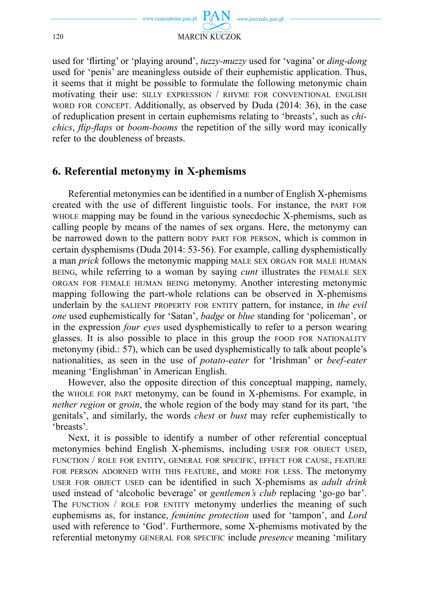

used for 'flirting' or 'playing around', *tuzzy-muzzy* used for 'vagina' or *ding-dong* used for 'penis' are meaningless outside of their euphemistic application. Thus, it seems that it might be possible to formulate the following metonymic chain motivating their use: SILLY EXPRESSION / RHYME FOR CONVENTIONAL ENGLISH WORD FOR CONCEPT. Additionally, as observed by Duda (2014: 36), in the case of reduplication present in certain euphemisms relating to 'breasts', such as *chichics*, *flip-flaps* or *boom-booms* the repetition of the silly word may iconically refer to the doubleness of breasts.

## **6. Referential metonymy in X-phemisms**

Referential metonymies can be identified in a number of English X-phemisms created with the use of different linguistic tools. For instance, the PART FOR WHOLE mapping may be found in the various synecdochic X-phemisms, such as calling people by means of the names of sex organs. Here, the metonymy can be narrowed down to the pattern BODY PART FOR PERSON, which is common in certain dysphemisms (Duda 2014: 53-56). For example, calling dysphemistically a man *prick* follows the metonymic mapping MALE SEX ORGAN FOR MALE HUMAN BEING, while referring to a woman by saying *cunt* illustrates the FEMALE SEX ORGAN FOR FEMALE HUMAN BEING metonymy. Another interesting metonymic mapping following the part-whole relations can be observed in X-phemisms underlain by the SALIENT PROPERTY FOR ENTITY pattern, for instance, in *the evil one* used euphemistically for 'Satan', *badge* or *blue* standing for 'policeman', or in the expression *four eyes* used dysphemistically to refer to a person wearing glasses. It is also possible to place in this group the FOOD FOR NATIONALITY metonymy (ibid.: 57), which can be used dysphemistically to talk about people's nationalities, as seen in the use of *potato-eater* for 'Irishman' or *beef-eater* meaning 'Englishman' in American English.

However, also the opposite direction of this conceptual mapping, namely, the WHOLE FOR PART metonymy, can be found in X-phemisms. For example, in *nether region* or *groin*, the whole region of the body may stand for its part, 'the genitals', and similarly, the words *chest* or *bust* may refer euphemistically to 'breasts'.

Next, it is possible to identify a number of other referential conceptual metonymies behind English X-phemisms, including USER FOR OBJECT USED, FUNCTION / ROLE FOR ENTITY, GENERAL FOR SPECIFIC, EFFECT FOR CAUSE, FEATURE FOR PERSON ADORNED WITH THIS FEATURE, and MORE FOR LESS. The metonymy USER FOR OBJECT USED can be identified in such X-phemisms as *adult drink* used instead of 'alcoholic beverage' or *gentlemen's club* replacing 'go-go bar'. The FUNCTION / ROLE FOR ENTITY metonymy underlies the meaning of such euphemisms as, for instance, *feminine protection* used for 'tampon', and *Lord*  used with reference to 'God'. Furthermore, some X-phemisms motivated by the referential metonymy GENERAL FOR SPECIFIC include *presence* meaning 'military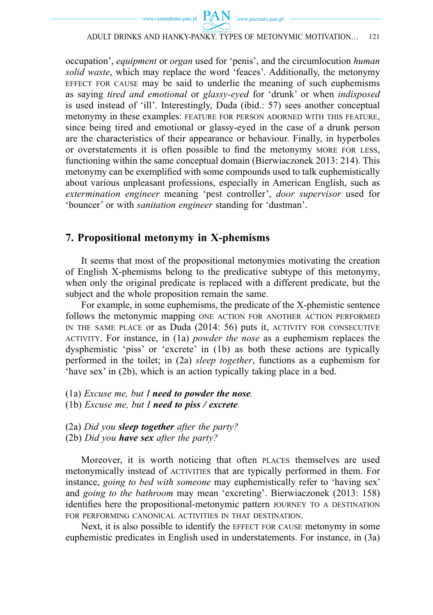

occupation', *equipment* or *organ* used for 'penis', and the circumlocution *human solid waste*, which may replace the word 'feaces'. Additionally, the metonymy EFFECT FOR CAUSE may be said to underlie the meaning of such euphemisms as saying *tired and emotional* or *glassy-eyed* for 'drunk' or when *indisposed* is used instead of 'ill'. Interestingly, Duda (ibid.: 57) sees another conceptual metonymy in these examples: FEATURE FOR PERSON ADORNED WITH THIS FEATURE, since being tired and emotional or glassy-eyed in the case of a drunk person are the characteristics of their appearance or behaviour. Finally, in hyperboles or overstatements it is often possible to find the metonymy MORE FOR LESS, functioning within the same conceptual domain (Bierwiaczonek 2013: 214). This metonymy can be exemplified with some compounds used to talk euphemistically about various unpleasant professions, especially in American English, such as *extermination engineer* meaning 'pest controller', *door supervisor* used for 'bouncer' or with *sanitation engineer* standing for 'dustman'.

### **7. Propositional metonymy in X-phemisms**

It seems that most of the propositional metonymies motivating the creation of English X-phemisms belong to the predicative subtype of this metonymy, when only the original predicate is replaced with a different predicate, but the subject and the whole proposition remain the same.

For example, in some euphemisms, the predicate of the X-phemistic sentence follows the metonymic mapping ONE ACTION FOR ANOTHER ACTION PERFORMED IN THE SAME PLACE or as Duda (2014: 56) puts it, ACTIVITY FOR CONSECUTIVE ACTIVITY. For instance, in (1a) *powder the nose* as a euphemism replaces the dysphemistic 'piss' or 'excrete' in (1b) as both these actions are typically performed in the toilet; in (2a) *sleep together*, functions as a euphemism for 'have sex' in (2b), which is an action typically taking place in a bed.

- (1a) *Excuse me, but I need to powder the nose.*
- (1b) *Excuse me, but I need to piss / excrete.*
- (2a) *Did you sleep together after the party?*  (2b) *Did you have sex after the party?*

Moreover, it is worth noticing that often PLACES themselves are used metonymically instead of ACTIVITIES that are typically performed in them. For instance, *going to bed with someone* may euphemistically refer to 'having sex' and *going to the bathroom* may mean 'excreting'. Bierwiaczonek (2013: 158) identifies here the propositional-metonymic pattern JOURNEY TO A DESTINATION FOR PERFORMING CANONICAL ACTIVITIES IN THAT DESTINATION.

Next, it is also possible to identify the EFFECT FOR CAUSE metonymy in some euphemistic predicates in English used in understatements. For instance, in (3a)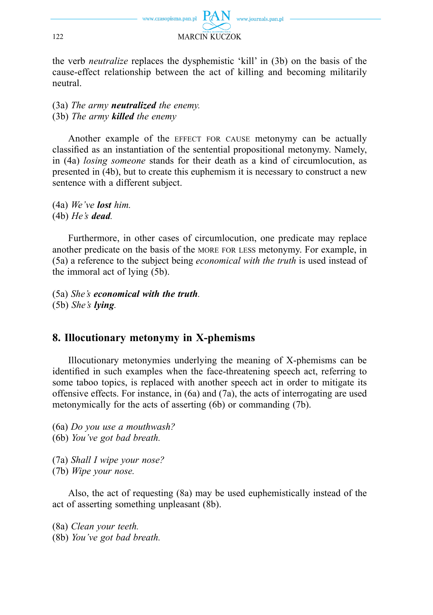

the verb *neutralize* replaces the dysphemistic 'kill' in (3b) on the basis of the cause-effect relationship between the act of killing and becoming militarily neutral.

(3a) *The army neutralized the enemy.* (3b) *The army killed the enemy*

Another example of the EFFECT FOR CAUSE metonymy can be actually classified as an instantiation of the sentential propositional metonymy. Namely, in (4a) *losing someone* stands for their death as a kind of circumlocution, as presented in (4b), but to create this euphemism it is necessary to construct a new sentence with a different subject.

(4a) *We've lost him.* (4b) *He's dead.*

Furthermore, in other cases of circumlocution, one predicate may replace another predicate on the basis of the MORE FOR LESS metonymy. For example, in (5a) a reference to the subject being *economical with the truth* is used instead of the immoral act of lying (5b).

(5a) *She's economical with the truth.* (5b) *She's lying.*

## **8. Illocutionary metonymy in X-phemisms**

Illocutionary metonymies underlying the meaning of X-phemisms can be identified in such examples when the face-threatening speech act, referring to some taboo topics, is replaced with another speech act in order to mitigate its offensive effects. For instance, in (6a) and (7a), the acts of interrogating are used metonymically for the acts of asserting (6b) or commanding (7b).

(6a) *Do you use a mouthwash?* 

(6b) *You've got bad breath.*

(7a) *Shall I wipe your nose?*

(7b) *Wipe your nose.*

Also, the act of requesting (8a) may be used euphemistically instead of the act of asserting something unpleasant (8b).

(8a) *Clean your teeth.* 

(8b) *You've got bad breath.*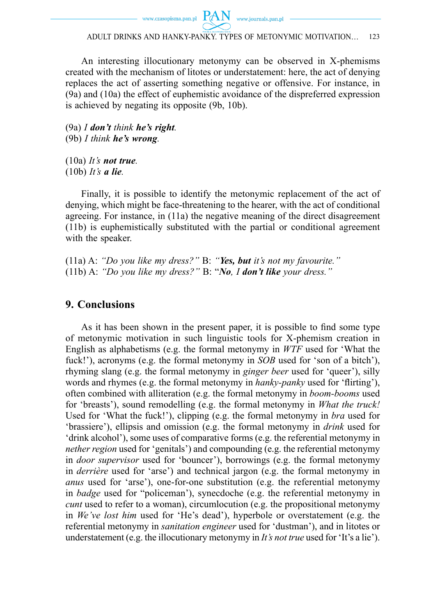www.czasopisma.pan.pl  $PAN$  www.journals.pan.pl

ADULT DRINKS AND HANKY-PANKY. TYPES OF METONYMIC MOTIVATION… 123

An interesting illocutionary metonymy can be observed in X-phemisms created with the mechanism of litotes or understatement: here, the act of denying replaces the act of asserting something negative or offensive. For instance, in (9a) and (10a) the effect of euphemistic avoidance of the dispreferred expression is achieved by negating its opposite (9b, 10b).

(9a) *I don't think he's right.* (9b) *I think he's wrong.* 

(10a) *It's not true.*  (10b) *It's a lie.*

Finally, it is possible to identify the metonymic replacement of the act of denying, which might be face-threatening to the hearer, with the act of conditional agreeing. For instance, in (11a) the negative meaning of the direct disagreement (11b) is euphemistically substituted with the partial or conditional agreement with the speaker.

(11a) A: *"Do you like my dress?"* B: *"Yes, but it's not my favourite."* (11b) A: *"Do you like my dress?"* B: "*No, I don't like your dress."*

## **9. Conclusions**

As it has been shown in the present paper, it is possible to find some type of metonymic motivation in such linguistic tools for X-phemism creation in English as alphabetisms (e.g. the formal metonymy in *WTF* used for 'What the fuck!'), acronyms (e.g. the formal metonymy in *SOB* used for 'son of a bitch'), rhyming slang (e.g. the formal metonymy in *ginger beer* used for 'queer'), silly words and rhymes (e.g. the formal metonymy in *hanky-panky* used for 'flirting'), often combined with alliteration (e.g. the formal metonymy in *boom-booms* used for 'breasts'), sound remodelling (e.g. the formal metonymy in *What the truck!* Used for 'What the fuck!'), clipping (e.g. the formal metonymy in *bra* used for 'brassiere'), ellipsis and omission (e.g. the formal metonymy in *drink* used for 'drink alcohol'), some uses of comparative forms (e.g. the referential metonymy in *nether region* used for 'genitals') and compounding (e.g. the referential metonymy in *door supervisor* used for 'bouncer'), borrowings (e.g. the formal metonymy in *derrière* used for 'arse') and technical jargon (e.g. the formal metonymy in *anus* used for 'arse'), one-for-one substitution (e.g. the referential metonymy in *badge* used for "policeman'), synecdoche (e.g. the referential metonymy in *cunt* used to refer to a woman), circumlocution (e.g. the propositional metonymy in *We've lost him* used for 'He's dead'), hyperbole or overstatement (e.g. the referential metonymy in *sanitation engineer* used for 'dustman'), and in litotes or understatement (e.g. the illocutionary metonymy in *It's not true* used for 'It's a lie').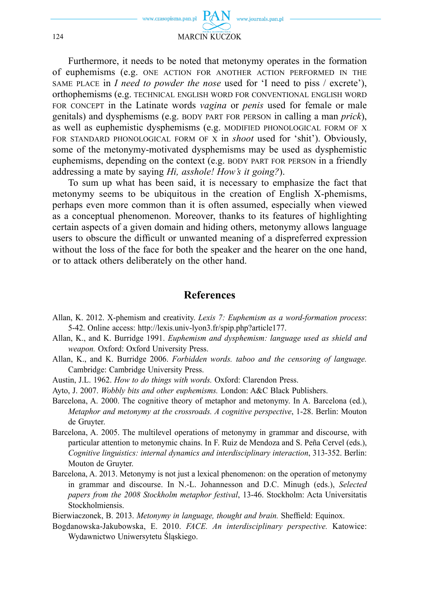

Furthermore, it needs to be noted that metonymy operates in the formation of euphemisms (e.g. ONE ACTION FOR ANOTHER ACTION PERFORMED IN THE SAME PLACE in *I need to powder the nose* used for 'I need to piss / excrete'), orthophemisms (e.g. TECHNICAL ENGLISH WORD FOR CONVENTIONAL ENGLISH WORD FOR CONCEPT in the Latinate words *vagina* or *penis* used for female or male genitals) and dysphemisms (e.g. BODY PART FOR PERSON in calling a man *prick*), as well as euphemistic dysphemisms (e.g. MODIFIED PHONOLOGICAL FORM OF X FOR STANDARD PHONOLOGICAL FORM OF X in *shoot* used for 'shit'). Obviously, some of the metonymy-motivated dysphemisms may be used as dysphemistic euphemisms, depending on the context (e.g. BODY PART FOR PERSON in a friendly addressing a mate by saying *Hi, asshole! How's it going?*).

To sum up what has been said, it is necessary to emphasize the fact that metonymy seems to be ubiquitous in the creation of English X-phemisms, perhaps even more common than it is often assumed, especially when viewed as a conceptual phenomenon. Moreover, thanks to its features of highlighting certain aspects of a given domain and hiding others, metonymy allows language users to obscure the difficult or unwanted meaning of a dispreferred expression without the loss of the face for both the speaker and the hearer on the one hand, or to attack others deliberately on the other hand.

### **References**

- Allan, K. 2012. X-phemism and creativity. *Lexis 7: Euphemism as a word-formation process*: 5-42. Online access: http://lexis.univ-lyon3.fr/spip.php?article177.
- Allan, K., and K. Burridge 1991. *Euphemism and dysphemism: language used as shield and weapon.* Oxford: Oxford University Press.
- Allan, K., and K. Burridge 2006. *Forbidden words. taboo and the censoring of language.* Cambridge: Cambridge University Press.
- Austin, J.L. 1962. *How to do things with words.* Oxford: Clarendon Press.
- Ayto, J. 2007. *Wobbly bits and other euphemisms.* London: A&C Black Publishers.
- Barcelona, A. 2000. The cognitive theory of metaphor and metonymy. In A. Barcelona (ed.), *Metaphor and metonymy at the crossroads. A cognitive perspective*, 1-28. Berlin: Mouton de Gruyter.
- Barcelona, A. 2005. The multilevel operations of metonymy in grammar and discourse, with particular attention to metonymic chains. In F. Ruiz de Mendoza and S. Peña Cervel (eds.), *Cognitive linguistics: internal dynamics and interdisciplinary interaction*, 313-352. Berlin: Mouton de Gruyter.
- Barcelona, A. 2013. Metonymy is not just a lexical phenomenon: on the operation of metonymy in grammar and discourse. In N.-L. Johannesson and D.C. Minugh (eds.), *Selected papers from the 2008 Stockholm metaphor festival*, 13-46. Stockholm: Acta Universitatis Stockholmiensis.

Bierwiaczonek, B. 2013. *Metonymy in language, thought and brain*. Sheffield: Equinox.

Bogdanowska-Jakubowska, E. 2010. *FACE. An interdisciplinary perspective.* Katowice: Wydawnictwo Uniwersytetu Śląskiego.